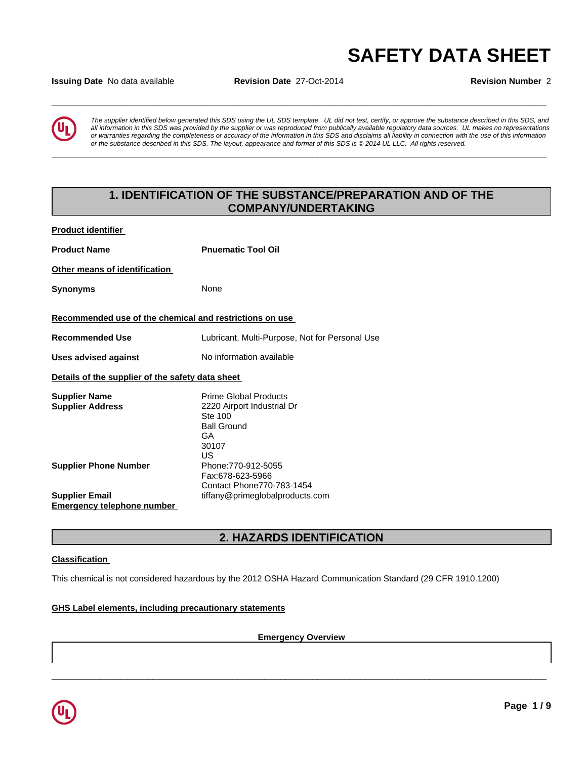# **SAFETY DATA SHEET**<br>Issuing Date No data available Revision Date 27-Oct-2014 Revision Number 2

**Issuing Date** No data available **Revision Date** 27-Oct-2014 **Revision Number** 2



*The supplier identified below generated this SDS using the UL SDS template. UL did not test, certify, or approve the substance described in this SDS, and all information in this SDS was provided by the supplier or was reproduced from publically available regulatory data sources. UL makes no representations or warranties regarding the completeness or accuracy of the information in this SDS and disclaims all liability in connection with the use of this information* or the substance described in this SDS. The layout, appearance and format of this SDS is @2014 UL LLC. All rights reserved.

**\_\_\_\_\_\_\_\_\_\_\_\_\_\_\_\_\_\_\_\_\_\_\_\_\_\_\_\_\_\_\_\_\_\_\_\_\_\_\_\_\_\_\_\_\_\_\_\_\_\_\_\_\_\_\_\_\_\_\_\_\_\_\_\_\_\_\_\_\_\_\_\_\_\_\_\_\_\_\_\_\_\_\_\_\_\_\_\_\_\_\_\_\_**

# **1. IDENTIFICATION OF THE SUBSTANCE/PREPARATION AND OF THE COMPANY/UNDERTAKING**

**Product identifier** 

| <b>Product Name</b>                                     | <b>Pnuematic Tool Oil</b>                                                                                        |
|---------------------------------------------------------|------------------------------------------------------------------------------------------------------------------|
| Other means of identification                           |                                                                                                                  |
| <b>Synonyms</b>                                         | None                                                                                                             |
| Recommended use of the chemical and restrictions on use |                                                                                                                  |
| <b>Recommended Use</b>                                  | Lubricant, Multi-Purpose, Not for Personal Use                                                                   |
| <b>Uses advised against</b>                             | No information available                                                                                         |
| Details of the supplier of the safety data sheet        |                                                                                                                  |
| <b>Supplier Name</b><br><b>Supplier Address</b>         | Prime Global Products<br>2220 Airport Industrial Dr<br>Ste 100<br><b>Ball Ground</b><br><b>GA</b><br>30107<br>US |
| <b>Supplier Phone Number</b>                            | Phone: 770-912-5055<br>Fax:678-623-5966<br>Contact Phone770-783-1454                                             |
| <b>Supplier Email</b>                                   | tiffany@primeglobalproducts.com                                                                                  |
| Emergency telephone number                              |                                                                                                                  |

# **2. HAZARDS IDENTIFICATION**

### **Classification**

This chemical is not considered hazardous by the 2012 OSHA Hazard Communication Standard (29 CFR 1910.1200)

### **GHS Label elements, including precautionary statements**

**Emergency Overview**

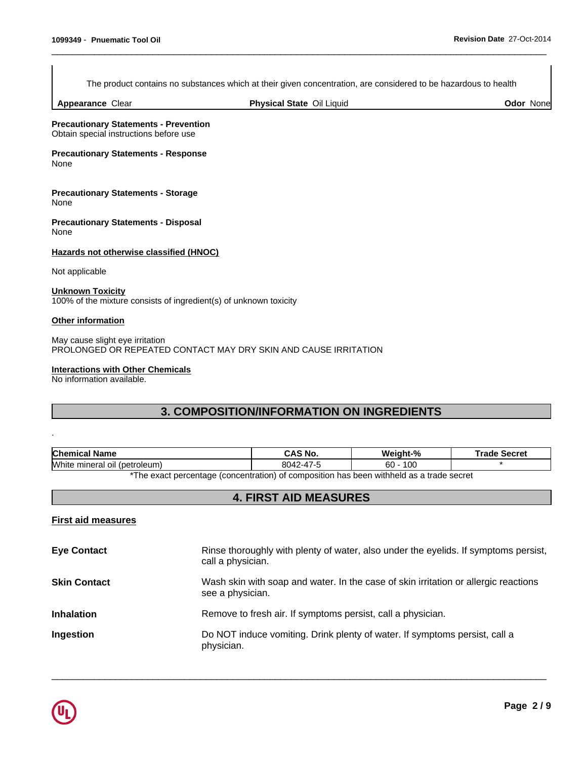The product contains no substances which at their given concentration, are considered to be hazardous to health

 $\overline{\phantom{a}}$  ,  $\overline{\phantom{a}}$  ,  $\overline{\phantom{a}}$  ,  $\overline{\phantom{a}}$  ,  $\overline{\phantom{a}}$  ,  $\overline{\phantom{a}}$  ,  $\overline{\phantom{a}}$  ,  $\overline{\phantom{a}}$  ,  $\overline{\phantom{a}}$  ,  $\overline{\phantom{a}}$  ,  $\overline{\phantom{a}}$  ,  $\overline{\phantom{a}}$  ,  $\overline{\phantom{a}}$  ,  $\overline{\phantom{a}}$  ,  $\overline{\phantom{a}}$  ,  $\overline{\phantom{a}}$ 

**Appearance** Clear

**Physical State Oil Liquid Community Construction Community Construction Community Community Community Community Community Community Community Community Community Community Community Community Community Community Community** 

**Precautionary Statements - Prevention** Obtain special instructions before use

**Precautionary Statements - Response** None

**Precautionary Statements - Storage** None

**Precautionary Statements - Disposal** None

**Hazards not otherwise classified (HNOC)**

Not applicable

**Unknown Toxicity** 100% of the mixture consists of ingredient(s) of unknown toxicity

### **Other information**

.

May cause slight eye irritation PROLONGED OR REPEATED CONTACT MAY DRY SKIN AND CAUSE IRRITATION

### **Interactions with Other Chemicals**

No information available.

# **3. COMPOSITION/INFORMATION ON INGREDIENTS**

| <b>Chemical Name</b>                                                                   | CAS No.  | Weight-%       | Trade Secret |
|----------------------------------------------------------------------------------------|----------|----------------|--------------|
| <b>White</b><br>mineral oil (petroleum)                                                | 8042-47- | 10C<br>ົ<br>оU |              |
| The exact perceptage (conceptration) of compection has been withhold as a trade secret |          |                |              |

The exact percentage (concentration) of composition has been withheld as a trade secret

# **4. FIRST AID MEASURES**

### **First aid measures**

| Rinse thoroughly with plenty of water, also under the eyelids. If symptoms persist,<br>call a physician. |
|----------------------------------------------------------------------------------------------------------|
| Wash skin with soap and water. In the case of skin irritation or allergic reactions<br>see a physician.  |
| Remove to fresh air. If symptoms persist, call a physician.                                              |
| Do NOT induce vomiting. Drink plenty of water. If symptoms persist, call a<br>physician.                 |
|                                                                                                          |

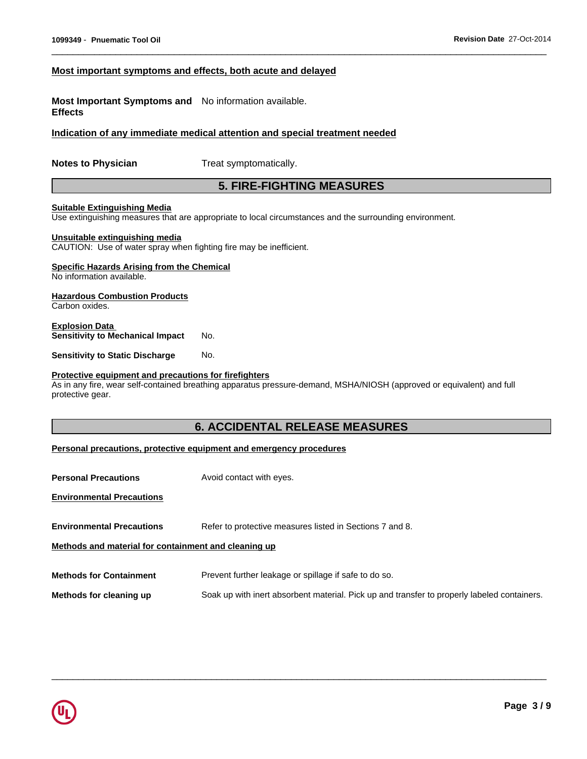### **Most important symptoms and effects, both acute and delayed**

**Most Important Symptoms and** No information available. **Effects**

**Indication of any immediate medical attention and special treatment needed**

**Notes to Physician** Treat symptomatically.

# **5. FIRE-FIGHTING MEASURES**

 $\overline{\phantom{a}}$  ,  $\overline{\phantom{a}}$  ,  $\overline{\phantom{a}}$  ,  $\overline{\phantom{a}}$  ,  $\overline{\phantom{a}}$  ,  $\overline{\phantom{a}}$  ,  $\overline{\phantom{a}}$  ,  $\overline{\phantom{a}}$  ,  $\overline{\phantom{a}}$  ,  $\overline{\phantom{a}}$  ,  $\overline{\phantom{a}}$  ,  $\overline{\phantom{a}}$  ,  $\overline{\phantom{a}}$  ,  $\overline{\phantom{a}}$  ,  $\overline{\phantom{a}}$  ,  $\overline{\phantom{a}}$ 

### **Suitable Extinguishing Media**

Use extinguishing measures that are appropriate to local circumstances and the surrounding environment.

### **Unsuitable extinguishing media**

CAUTION: Use of water spray when fighting fire may be inefficient.

### **Specific Hazards Arising from the Chemical**

No information available.

### **Hazardous Combustion Products**

Carbon oxides.

### **Explosion Data Sensitivity to Mechanical Impact** No.

**Sensitivity to Static Discharge No.** 

### **Protective equipment and precautions for firefighters**

As in any fire, wear self-contained breathing apparatus pressure-demand, MSHA/NIOSH (approved or equivalent) and full protective gear.

# **6. ACCIDENTAL RELEASE MEASURES**

### **Personal precautions, protective equipment and emergency procedures**

| <b>Personal Precautions</b>                          | Avoid contact with eyes.                                                                    |
|------------------------------------------------------|---------------------------------------------------------------------------------------------|
| <b>Environmental Precautions</b>                     |                                                                                             |
| <b>Environmental Precautions</b>                     | Refer to protective measures listed in Sections 7 and 8.                                    |
| Methods and material for containment and cleaning up |                                                                                             |
| <b>Methods for Containment</b>                       | Prevent further leakage or spillage if safe to do so.                                       |
| Methods for cleaning up                              | Soak up with inert absorbent material. Pick up and transfer to properly labeled containers. |

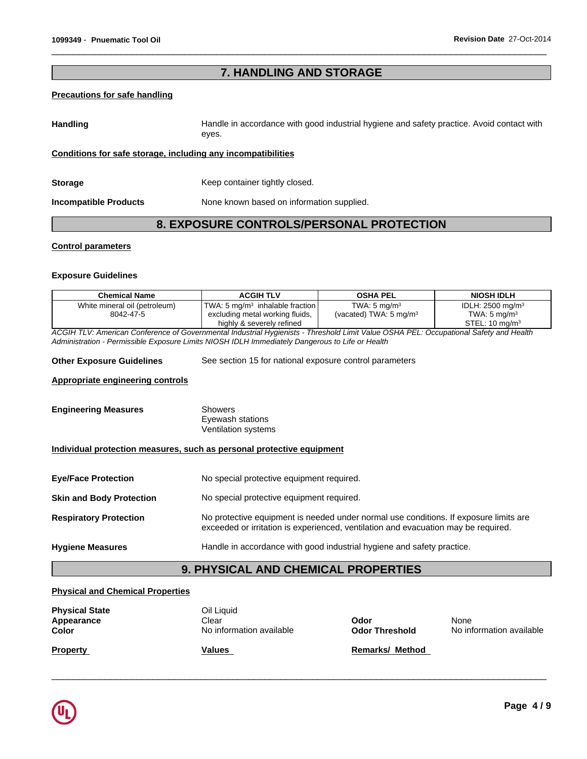# **7. HANDLING AND STORAGE**

 $\overline{\phantom{a}}$  ,  $\overline{\phantom{a}}$  ,  $\overline{\phantom{a}}$  ,  $\overline{\phantom{a}}$  ,  $\overline{\phantom{a}}$  ,  $\overline{\phantom{a}}$  ,  $\overline{\phantom{a}}$  ,  $\overline{\phantom{a}}$  ,  $\overline{\phantom{a}}$  ,  $\overline{\phantom{a}}$  ,  $\overline{\phantom{a}}$  ,  $\overline{\phantom{a}}$  ,  $\overline{\phantom{a}}$  ,  $\overline{\phantom{a}}$  ,  $\overline{\phantom{a}}$  ,  $\overline{\phantom{a}}$ 

### **Precautions for safe handling**

Handling **Handle in accordance with good industrial hygiene and safety practice. Avoid contact with** eyes.

**Conditions for safe storage, including any incompatibilities**

**Storage Keep container tightly closed.** 

**Incompatible Products**

None known based on information supplied.

# **8. EXPOSURE CONTROLS/PERSONAL PROTECTION**

### **Control parameters**

### **Exposure Guidelines**

| <b>Chemical Name</b>          | ACGIH TLV                                             | OSHA PEL                          | <b>NIOSH IDLH</b>              |
|-------------------------------|-------------------------------------------------------|-----------------------------------|--------------------------------|
| White mineral oil (petroleum) | $\sqrt{TWA}$ : 5 mg/m <sup>3</sup> inhalable fraction | TWA: $5 \text{ mg/m}^3$           | IDLH: $2500$ mg/m <sup>3</sup> |
| 8042-47-5                     | excluding metal working fluids,                       | (vacated) TWA: $5 \text{ mg/m}^3$ | TWA: $5 \text{ mg/m}^3$        |
|                               | highly & severely refined                             |                                   | STEL: $10 \text{ ma/m}^3$      |

*ACGIH TLV: American Conference of Governmental Industrial Hygienists - Threshold Limit Value OSHA PEL: Occupational Safety and Health Administration - Permissible Exposure Limits NIOSH IDLH Immediately Dangerous to Life or Health*

| <b>Other Exposure Guidelines</b> | See section 15 for national exposure control parameters |  |
|----------------------------------|---------------------------------------------------------|--|
|----------------------------------|---------------------------------------------------------|--|

### **Appropriate engineering controls**

| <b>Engineering Measures</b> | Showers             |
|-----------------------------|---------------------|
|                             | Eyewash stations    |
|                             | Ventilation systems |

### **Individual protection measures, such as personal protective equipment**

| <b>Eve/Face Protection</b>      | No special protective equipment required.                                             |
|---------------------------------|---------------------------------------------------------------------------------------|
| <b>Skin and Body Protection</b> | No special protective equipment required.                                             |
| <b>Respiratory Protection</b>   | No protective equipment is needed under normal use conditions. If exposure limits are |

# exceeded or irritation is experienced, ventilation and evacuation may be required.

### **Hygiene Measures** Handle in accordance with good industrial hygiene and safety practice.

# **9. PHYSICAL AND CHEMICAL PROPERTIES**

### **Physical and Chemical Properties**

| <b>Physical State</b><br>Appearance<br>Color | Oil Liquid<br>Clear<br>No information available | Odor<br><b>Odor Threshold</b> | None<br>No information available |
|----------------------------------------------|-------------------------------------------------|-------------------------------|----------------------------------|
| <b>Property</b>                              | Values                                          | <b>Remarks/ Method</b>        |                                  |

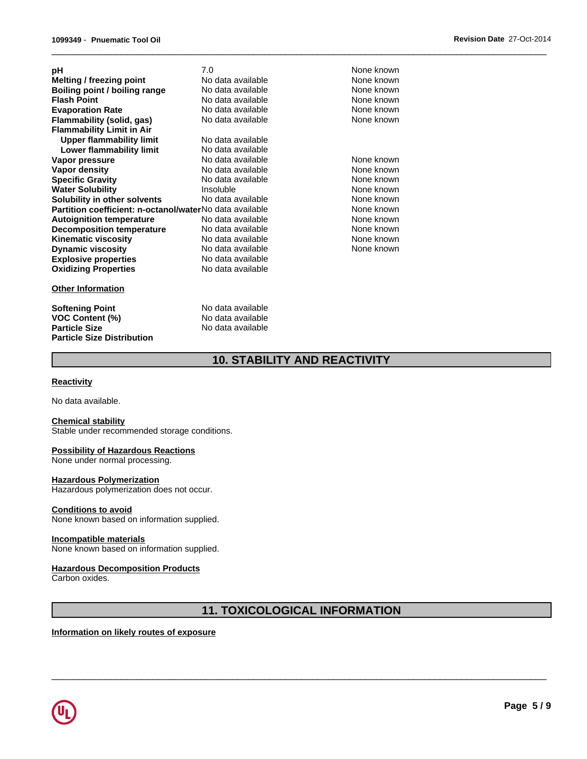| рH                                                      | 7.0               | None known |
|---------------------------------------------------------|-------------------|------------|
| Melting / freezing point                                | No data available | None known |
| Boiling point / boiling range                           | No data available | None known |
| <b>Flash Point</b>                                      | No data available | None known |
| <b>Evaporation Rate</b>                                 | No data available | None known |
| Flammability (solid, gas)                               | No data available | None known |
| <b>Flammability Limit in Air</b>                        |                   |            |
| Upper flammability limit                                | No data available |            |
| Lower flammability limit                                | No data available |            |
| Vapor pressure                                          | No data available | None known |
| Vapor density                                           | No data available | None known |
| <b>Specific Gravity</b>                                 | No data available | None known |
| <b>Water Solubility</b>                                 | Insoluble         | None known |
| Solubility in other solvents                            | No data available | None known |
| Partition coefficient: n-octanol/waterNo data available |                   | None known |
| <b>Autoignition temperature</b>                         | No data available | None known |
| <b>Decomposition temperature</b>                        | No data available | None known |
| <b>Kinematic viscosity</b>                              | No data available | None known |
| <b>Dynamic viscosity</b>                                | No data available | None known |
| <b>Explosive properties</b>                             | No data available |            |
| <b>Oxidizing Properties</b>                             | No data available |            |
|                                                         |                   |            |

### **Other Information**

# **Softening Point**<br> **VOC Content (%)**<br>
Mo data available<br>
No data available **VOC Content (%)**<br>Particle Size **Particle Size Distribution**

**No data available** 

 $\overline{\phantom{a}}$  ,  $\overline{\phantom{a}}$  ,  $\overline{\phantom{a}}$  ,  $\overline{\phantom{a}}$  ,  $\overline{\phantom{a}}$  ,  $\overline{\phantom{a}}$  ,  $\overline{\phantom{a}}$  ,  $\overline{\phantom{a}}$  ,  $\overline{\phantom{a}}$  ,  $\overline{\phantom{a}}$  ,  $\overline{\phantom{a}}$  ,  $\overline{\phantom{a}}$  ,  $\overline{\phantom{a}}$  ,  $\overline{\phantom{a}}$  ,  $\overline{\phantom{a}}$  ,  $\overline{\phantom{a}}$ 

# **10. STABILITY AND REACTIVITY**

### **Reactivity**

No data available.

### **Chemical stability**

Stable under recommended storage conditions.

### **Possibility of Hazardous Reactions**

None under normal processing.

### **Hazardous Polymerization**

Hazardous polymerization does not occur.

### **Conditions to avoid**

None known based on information supplied.

### **Incompatible materials**

None known based on information supplied.

### **Hazardous Decomposition Products**

Carbon oxides.

# **11. TOXICOLOGICAL INFORMATION**

 $\overline{\phantom{a}}$  ,  $\overline{\phantom{a}}$  ,  $\overline{\phantom{a}}$  ,  $\overline{\phantom{a}}$  ,  $\overline{\phantom{a}}$  ,  $\overline{\phantom{a}}$  ,  $\overline{\phantom{a}}$  ,  $\overline{\phantom{a}}$  ,  $\overline{\phantom{a}}$  ,  $\overline{\phantom{a}}$  ,  $\overline{\phantom{a}}$  ,  $\overline{\phantom{a}}$  ,  $\overline{\phantom{a}}$  ,  $\overline{\phantom{a}}$  ,  $\overline{\phantom{a}}$  ,  $\overline{\phantom{a}}$ 

### **Information on likely routes of exposure**

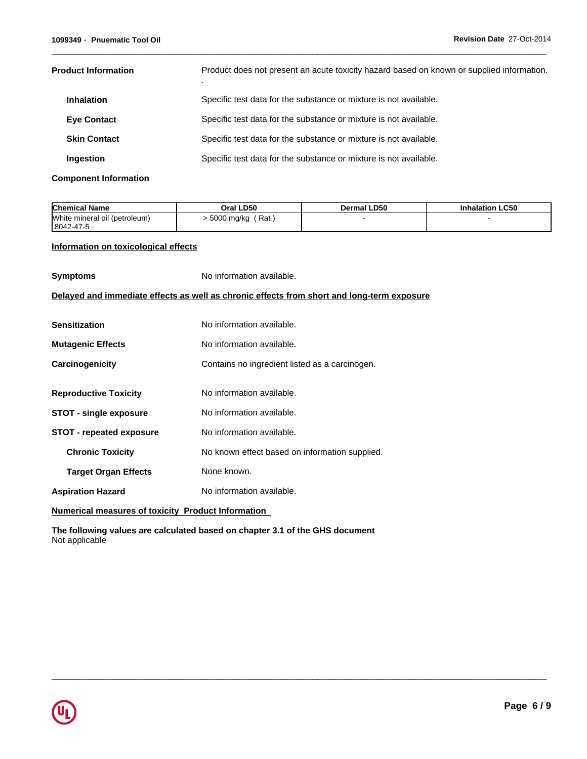| <b>Product Information</b> | Product does not present an acute toxicity hazard based on known or supplied information. |
|----------------------------|-------------------------------------------------------------------------------------------|
| <b>Inhalation</b>          | Specific test data for the substance or mixture is not available.                         |
| <b>Eve Contact</b>         | Specific test data for the substance or mixture is not available.                         |
| <b>Skin Contact</b>        | Specific test data for the substance or mixture is not available.                         |
| <b>Ingestion</b>           | Specific test data for the substance or mixture is not available.                         |

 $\overline{\phantom{a}}$  ,  $\overline{\phantom{a}}$  ,  $\overline{\phantom{a}}$  ,  $\overline{\phantom{a}}$  ,  $\overline{\phantom{a}}$  ,  $\overline{\phantom{a}}$  ,  $\overline{\phantom{a}}$  ,  $\overline{\phantom{a}}$  ,  $\overline{\phantom{a}}$  ,  $\overline{\phantom{a}}$  ,  $\overline{\phantom{a}}$  ,  $\overline{\phantom{a}}$  ,  $\overline{\phantom{a}}$  ,  $\overline{\phantom{a}}$  ,  $\overline{\phantom{a}}$  ,  $\overline{\phantom{a}}$ 

 $\overline{\phantom{a}}$  ,  $\overline{\phantom{a}}$  ,  $\overline{\phantom{a}}$  ,  $\overline{\phantom{a}}$  ,  $\overline{\phantom{a}}$  ,  $\overline{\phantom{a}}$  ,  $\overline{\phantom{a}}$  ,  $\overline{\phantom{a}}$  ,  $\overline{\phantom{a}}$  ,  $\overline{\phantom{a}}$  ,  $\overline{\phantom{a}}$  ,  $\overline{\phantom{a}}$  ,  $\overline{\phantom{a}}$  ,  $\overline{\phantom{a}}$  ,  $\overline{\phantom{a}}$  ,  $\overline{\phantom{a}}$ 

**Component Information**

| <b>Chemical Name</b>                       | Oral LD50               | Dermal LD50 | <b>Inhalation LC50</b> |
|--------------------------------------------|-------------------------|-------------|------------------------|
| White mineral oil (petroleum)<br>8042-47-5 | ، Rat '<br>. 5000 mg/kg |             |                        |

### **Information on toxicological effects**

| <b>Symptoms</b>                                                                            | No information available.                      |  |  |
|--------------------------------------------------------------------------------------------|------------------------------------------------|--|--|
| Delayed and immediate effects as well as chronic effects from short and long-term exposure |                                                |  |  |
| <b>Sensitization</b>                                                                       | No information available.                      |  |  |
| <b>Mutagenic Effects</b>                                                                   | No information available.                      |  |  |
| Carcinogenicity                                                                            | Contains no ingredient listed as a carcinogen. |  |  |
| <b>Reproductive Toxicity</b>                                                               | No information available.                      |  |  |
| <b>STOT - single exposure</b>                                                              | No information available.                      |  |  |
| <b>STOT - repeated exposure</b>                                                            | No information available.                      |  |  |
| <b>Chronic Toxicity</b>                                                                    | No known effect based on information supplied. |  |  |
| <b>Target Organ Effects</b>                                                                | None known.                                    |  |  |
| <b>Aspiration Hazard</b>                                                                   | No information available.                      |  |  |
| Numerical measures of toxicity Product Information                                         |                                                |  |  |

**The following values are calculated based on chapter 3.1 of the GHS document** Not applicable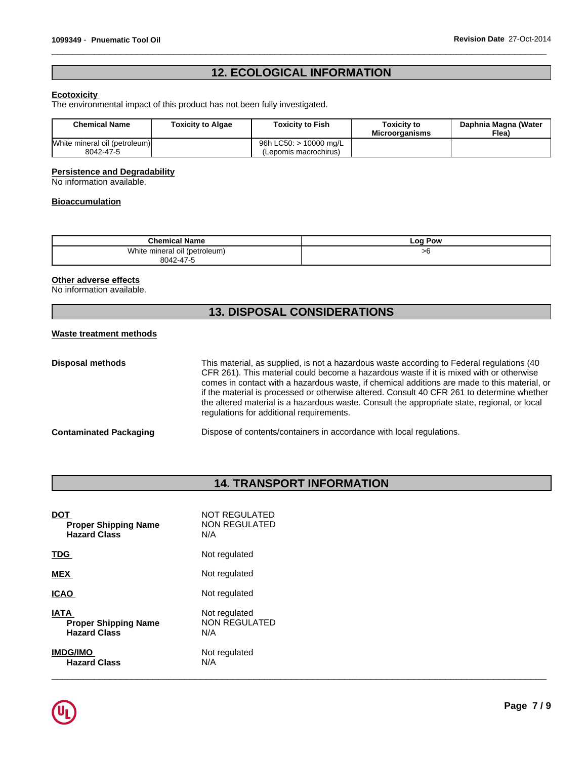# **12. ECOLOGICAL INFORMATION**

 $\overline{\phantom{a}}$  ,  $\overline{\phantom{a}}$  ,  $\overline{\phantom{a}}$  ,  $\overline{\phantom{a}}$  ,  $\overline{\phantom{a}}$  ,  $\overline{\phantom{a}}$  ,  $\overline{\phantom{a}}$  ,  $\overline{\phantom{a}}$  ,  $\overline{\phantom{a}}$  ,  $\overline{\phantom{a}}$  ,  $\overline{\phantom{a}}$  ,  $\overline{\phantom{a}}$  ,  $\overline{\phantom{a}}$  ,  $\overline{\phantom{a}}$  ,  $\overline{\phantom{a}}$  ,  $\overline{\phantom{a}}$ 

### **Ecotoxicity**

The environmental impact of this product has not been fully investigated.

| <b>Chemical Name</b>                       | Toxicity to Algae | <b>Toxicity to Fish</b>                         | Toxicitv to<br><b>Microorganisms</b> | Daphnia Magna (Water<br>Flea) |
|--------------------------------------------|-------------------|-------------------------------------------------|--------------------------------------|-------------------------------|
| White mineral oil (petroleum)<br>8042-47-5 |                   | 96h LC50: > 10000 mg/L<br>(Lepomis macrochirus) |                                      |                               |

### **Persistence and Degradability**

No information available.

### **Bioaccumulation**

| <b>Chemical Name</b>             | Pow<br>LOO . |
|----------------------------------|--------------|
| White<br>mineral oil (petroleum) | ־ש           |
| 8042-47-5                        |              |

### **Other adverse effects**

No information available.

# **13. DISPOSAL CONSIDERATIONS**

### **Waste treatment methods**

| <b>Disposal methods</b>       | This material, as supplied, is not a hazardous waste according to Federal regulations (40<br>CFR 261). This material could become a hazardous waste if it is mixed with or otherwise<br>comes in contact with a hazardous waste, if chemical additions are made to this material, or<br>if the material is processed or otherwise altered. Consult 40 CFR 261 to determine whether<br>the altered material is a hazardous waste. Consult the appropriate state, regional, or local<br>regulations for additional requirements. |
|-------------------------------|--------------------------------------------------------------------------------------------------------------------------------------------------------------------------------------------------------------------------------------------------------------------------------------------------------------------------------------------------------------------------------------------------------------------------------------------------------------------------------------------------------------------------------|
| <b>Contaminated Packaging</b> | Dispose of contents/containers in accordance with local regulations.                                                                                                                                                                                                                                                                                                                                                                                                                                                           |

# **14. TRANSPORT INFORMATION**

| <b>DOT</b>                  | NOT REGULATED |
|-----------------------------|---------------|
| <b>Proper Shipping Name</b> | NON REGULATED |
| <b>Hazard Class</b>         | N/A           |
| <b>TDG</b>                  | Not regulated |
| MEX                         | Not regulated |
| <b>ICAO</b>                 | Not regulated |
| <b>IATA</b>                 | Not regulated |
| <b>Proper Shipping Name</b> | NON REGULATED |
| <b>Hazard Class</b>         | N/A           |
| <b>IMDG/IMO</b>             | Not regulated |
| <b>Hazard Class</b>         | N/A           |

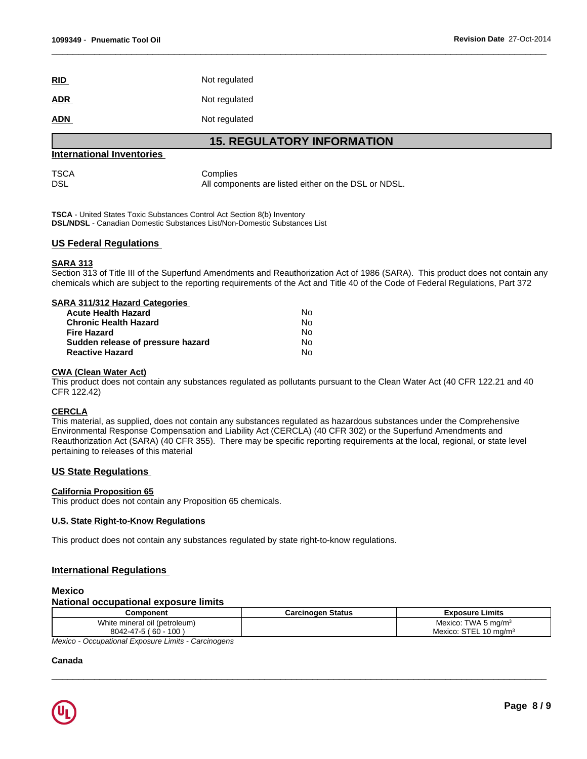| RID        | Not regulated |
|------------|---------------|
| <u>ADR</u> | Not regulated |
| <b>ADN</b> | Not regulated |

### **15. REGULATORY INFORMATION**

 $\overline{\phantom{a}}$  ,  $\overline{\phantom{a}}$  ,  $\overline{\phantom{a}}$  ,  $\overline{\phantom{a}}$  ,  $\overline{\phantom{a}}$  ,  $\overline{\phantom{a}}$  ,  $\overline{\phantom{a}}$  ,  $\overline{\phantom{a}}$  ,  $\overline{\phantom{a}}$  ,  $\overline{\phantom{a}}$  ,  $\overline{\phantom{a}}$  ,  $\overline{\phantom{a}}$  ,  $\overline{\phantom{a}}$  ,  $\overline{\phantom{a}}$  ,  $\overline{\phantom{a}}$  ,  $\overline{\phantom{a}}$ 

### **International Inventories**

TSCA Complies DSL DSL All components are listed either on the DSL or NDSL.

**TSCA** - United States Toxic Substances Control Act Section 8(b) Inventory **DSL/NDSL** - Canadian Domestic Substances List/Non-Domestic Substances List

### **US Federal Regulations**

### **SARA 313**

Section 313 of Title III of the Superfund Amendments and Reauthorization Act of 1986 (SARA). This product does not contain any chemicals which are subject to the reporting requirements of the Act and Title 40 of the Code of Federal Regulations, Part 372

| SARA 311/312 Hazard Categories          |  |
|-----------------------------------------|--|
| N٥<br><b>Acute Health Hazard</b>        |  |
| <b>Chronic Health Hazard</b><br>No      |  |
| No<br>Fire Hazard                       |  |
| No<br>Sudden release of pressure hazard |  |
| <b>Reactive Hazard</b><br>No            |  |

### **CWA (Clean Water Act)**

This product does not contain any substances regulated as pollutants pursuant to the Clean Water Act (40 CFR 122.21 and 40 CFR 122.42)

### **CERCLA**

This material, as supplied, does not contain any substances regulated as hazardous substances under the Comprehensive Environmental Response Compensation and Liability Act (CERCLA) (40 CFR 302) or the Superfund Amendments and Reauthorization Act (SARA) (40 CFR 355). There may be specific reporting requirements at the local, regional, or state level pertaining to releases of this material

### **US State Regulations**

### **California Proposition 65**

This product does not contain any Proposition 65 chemicals.

### **U.S. State Right-to-Know Regulations**

This product does not contain any substances regulated by state right-to-know regulations.

### **International Regulations**

### **Mexico**

### **National occupational exposure limits**

| Component                                           | <b>Carcinogen Status</b> | <b>Exposure Limits</b>            |
|-----------------------------------------------------|--------------------------|-----------------------------------|
| White mineral oil (petroleum)                       |                          | Mexico: TWA 5 mg/m $3$            |
| $8042 - 47 - 5 (60 - 100)$                          |                          | Mexico: STEL 10 mg/m <sup>3</sup> |
| Mexico - Occupational Exposure Limits - Carcinogens |                          |                                   |

 $\overline{\phantom{a}}$  ,  $\overline{\phantom{a}}$  ,  $\overline{\phantom{a}}$  ,  $\overline{\phantom{a}}$  ,  $\overline{\phantom{a}}$  ,  $\overline{\phantom{a}}$  ,  $\overline{\phantom{a}}$  ,  $\overline{\phantom{a}}$  ,  $\overline{\phantom{a}}$  ,  $\overline{\phantom{a}}$  ,  $\overline{\phantom{a}}$  ,  $\overline{\phantom{a}}$  ,  $\overline{\phantom{a}}$  ,  $\overline{\phantom{a}}$  ,  $\overline{\phantom{a}}$  ,  $\overline{\phantom{a}}$ 

### **Canada**